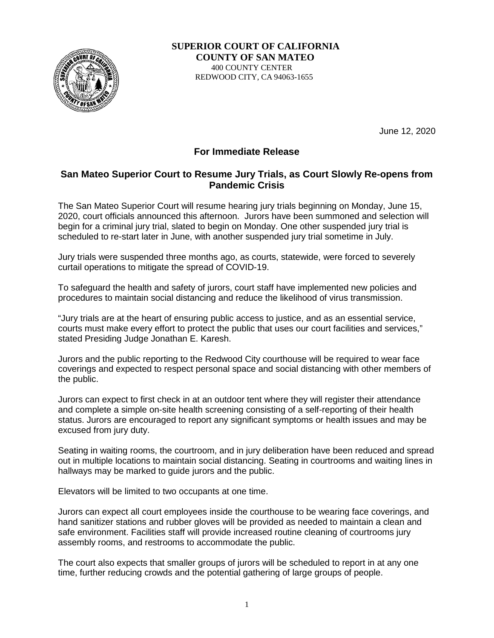

 **SUPERIOR COURT OF CALIFORNIA COUNTY OF SAN MATEO** 400 COUNTY CENTER REDWOOD CITY, CA 94063-1655

June 12, 2020

## **For Immediate Release**

## **San Mateo Superior Court to Resume Jury Trials, as Court Slowly Re-opens from Pandemic Crisis**

The San Mateo Superior Court will resume hearing jury trials beginning on Monday, June 15, 2020, court officials announced this afternoon. Jurors have been summoned and selection will begin for a criminal jury trial, slated to begin on Monday. One other suspended jury trial is scheduled to re-start later in June, with another suspended jury trial sometime in July.

Jury trials were suspended three months ago, as courts, statewide, were forced to severely curtail operations to mitigate the spread of COVID-19.

To safeguard the health and safety of jurors, court staff have implemented new policies and procedures to maintain social distancing and reduce the likelihood of virus transmission.

"Jury trials are at the heart of ensuring public access to justice, and as an essential service, courts must make every effort to protect the public that uses our court facilities and services," stated Presiding Judge Jonathan E. Karesh.

Jurors and the public reporting to the Redwood City courthouse will be required to wear face coverings and expected to respect personal space and social distancing with other members of the public.

Jurors can expect to first check in at an outdoor tent where they will register their attendance and complete a simple on-site health screening consisting of a self-reporting of their health status. Jurors are encouraged to report any significant symptoms or health issues and may be excused from jury duty.

Seating in waiting rooms, the courtroom, and in jury deliberation have been reduced and spread out in multiple locations to maintain social distancing. Seating in courtrooms and waiting lines in hallways may be marked to guide jurors and the public.

Elevators will be limited to two occupants at one time.

Jurors can expect all court employees inside the courthouse to be wearing face coverings, and hand sanitizer stations and rubber gloves will be provided as needed to maintain a clean and safe environment. Facilities staff will provide increased routine cleaning of courtrooms jury assembly rooms, and restrooms to accommodate the public.

The court also expects that smaller groups of jurors will be scheduled to report in at any one time, further reducing crowds and the potential gathering of large groups of people.